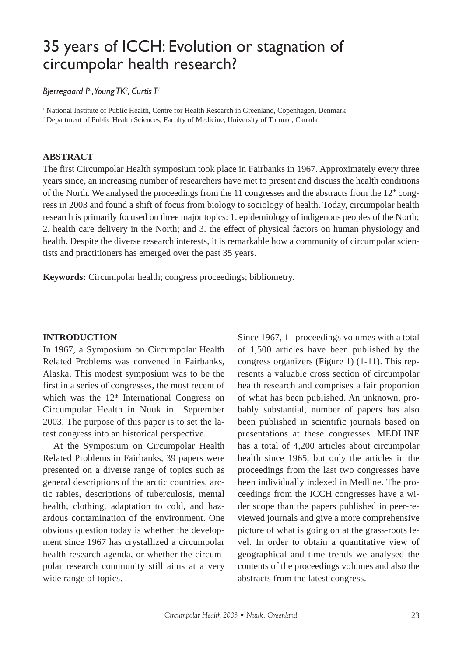## 35 years of ICCH: Evolution or stagnation of circumpolar health research?

### *Bjerregaard P1 ,Young TK2 , Curtis T1*

<sup>1</sup> National Institute of Public Health, Centre for Health Research in Greenland, Copenhagen, Denmark

<sup>2</sup> Department of Public Health Sciences, Faculty of Medicine, University of Toronto, Canada

### **ABSTRACT**

The first Circumpolar Health symposium took place in Fairbanks in 1967. Approximately every three years since, an increasing number of researchers have met to present and discuss the health conditions of the North. We analysed the proceedings from the 11 congresses and the abstracts from the  $12<sup>th</sup>$  congress in 2003 and found a shift of focus from biology to sociology of health. Today, circumpolar health research is primarily focused on three major topics: 1. epidemiology of indigenous peoples of the North; 2. health care delivery in the North; and 3. the effect of physical factors on human physiology and health. Despite the diverse research interests, it is remarkable how a community of circumpolar scientists and practitioners has emerged over the past 35 years.

**Keywords:** Circumpolar health; congress proceedings; bibliometry.

### **INTRODUCTION**

In 1967, a Symposium on Circumpolar Health Related Problems was convened in Fairbanks, Alaska. This modest symposium was to be the first in a series of congresses, the most recent of which was the  $12<sup>th</sup>$  International Congress on Circumpolar Health in Nuuk in September 2003. The purpose of this paper is to set the latest congress into an historical perspective.

At the Symposium on Circumpolar Health Related Problems in Fairbanks, 39 papers were presented on a diverse range of topics such as general descriptions of the arctic countries, arctic rabies, descriptions of tuberculosis, mental health, clothing, adaptation to cold, and hazardous contamination of the environment. One obvious question today is whether the development since 1967 has crystallized a circumpolar health research agenda, or whether the circumpolar research community still aims at a very wide range of topics.

Since 1967, 11 proceedings volumes with a total of 1,500 articles have been published by the congress organizers (Figure 1) (1-11). This represents a valuable cross section of circumpolar health research and comprises a fair proportion of what has been published. An unknown, probably substantial, number of papers has also been published in scientific journals based on presentations at these congresses. MEDLINE has a total of 4,200 articles about circumpolar health since 1965, but only the articles in the proceedings from the last two congresses have been individually indexed in Medline. The proceedings from the ICCH congresses have a wider scope than the papers published in peer-reviewed journals and give a more comprehensive picture of what is going on at the grass-roots level. In order to obtain a quantitative view of geographical and time trends we analysed the contents of the proceedings volumes and also the abstracts from the latest congress.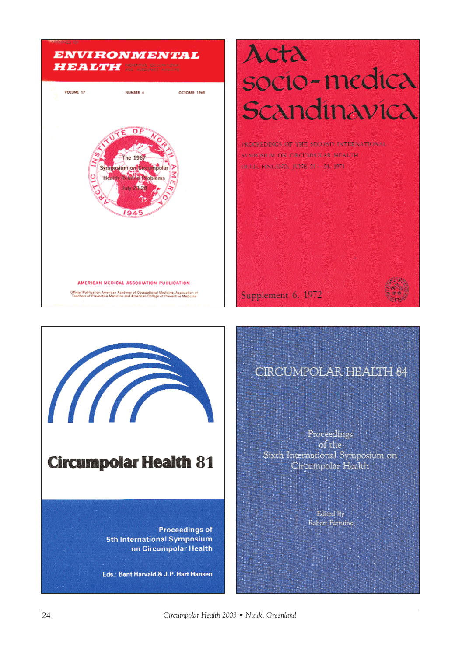### **ENVIRONMENTAL HEALTH BUSINESS COMPARISHED**



# Acta socio-medica Scandinavica

PROTEEDINGS OF THE STOUND INTERNATIONAL SYMPOSICAL ON CIRCUMPIOLAR MEALTH OREL FNEMD, JONE 21-24, 1971.

Supplement 6, 1972



Proceedings of the Sixth International Symposium on Circumpolar Health

> Edited By Robert Fortuine



### **Circumpolar Health 81**

**Proceedings of 5th International Symposium** on Circumpolar Health

Eds.: Bent Harvald & J.P. Hart Hansen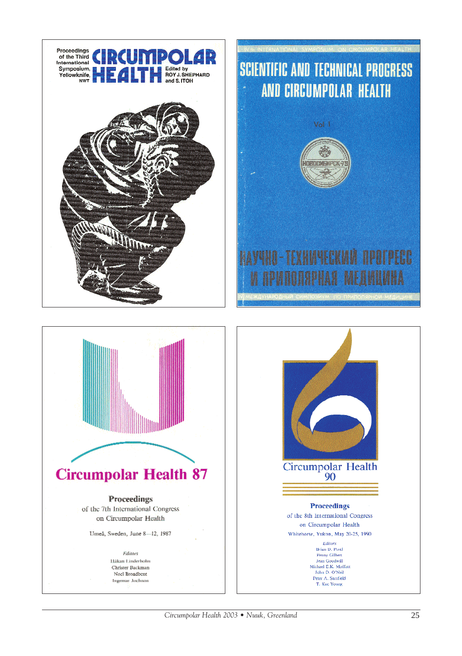

# **SCIENTIFIC AND TECHNICAL PROGRESS** AND CIRCUMPOLAR HEALTH MOROCMEMPC **YHIAMEEKININ NPOTPEGG** HAH

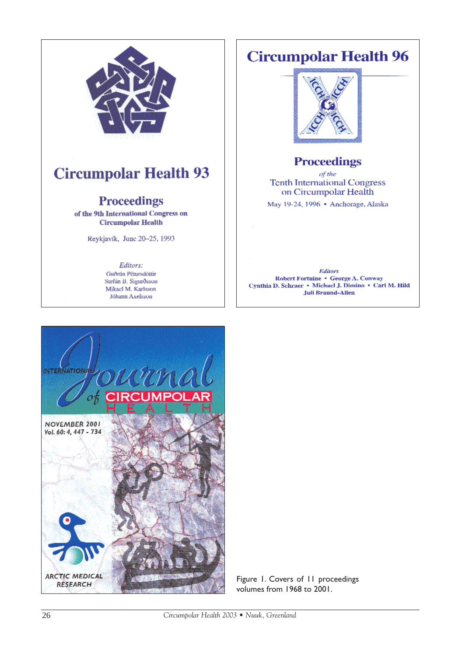

Stefán B. Sigurðsson Mikael M. Karlsson Jóhann Axelsson

# **Circumpolar Health 96**



### **Proceedings**

of the **Tenth International Congress** on Circumpolar Health

May 19-24, 1996 · Anchorage, Alaska

**Editors**  ${\bf Robert Fortuine+George~A.~Convay}$ Cynthia D. Schraer - Michael J. Dimino - Carl M. Hild **Juli Braund-Allen** 



Figure 1. Covers of 11 proceedings volumes from 1968 to 2001.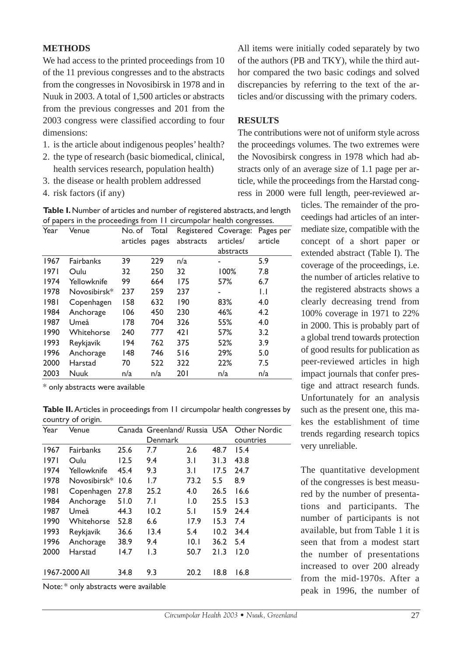### **METHODS**

We had access to the printed proceedings from 10 of the 11 previous congresses and to the abstracts from the congresses in Novosibirsk in 1978 and in Nuuk in 2003. A total of 1,500 articles or abstracts from the previous congresses and 201 from the 2003 congress were classified according to four dimensions:

- 1. is the article about indigenous peoples' health?
- 2. the type of research (basic biomedical, clinical, health services research, population health)
- 3. the disease or health problem addressed
- 4. risk factors (if any)

All items were initially coded separately by two of the authors (PB and TKY), while the third author compared the two basic codings and solved discrepancies by referring to the text of the articles and/or discussing with the primary coders.

### **RESULTS**

The contributions were not of uniform style across the proceedings volumes. The two extremes were the Novosibirsk congress in 1978 which had abstracts only of an average size of 1.1 page per article, while the proceedings from the Harstad congress in 2000 were full length, peer-reviewed ar-

> ticles. The remainder of the proceedings had articles of an intermediate size, compatible with the concept of a short paper or extended abstract (Table I). The coverage of the proceedings, i.e. the number of articles relative to the registered abstracts shows a clearly decreasing trend from 100% coverage in 1971 to 22% in 2000. This is probably part of a global trend towards protection of good results for publication as peer-reviewed articles in high impact journals that confer prestige and attract research funds. Unfortunately for an analysis such as the present one, this makes the establishment of time trends regarding research topics very unreliable.

> The quantitative development of the congresses is best measured by the number of presentations and participants. The number of participants is not available, but from Table 1 it is seen that from a modest start the number of presentations increased to over 200 already from the mid-1970s. After a peak in 1996, the number of

**Table I.**Number of articles and number of registered abstracts, and length of papers in the proceedings from 11 circumpolar health congresses.

| Year | Venue        | No. of   | Total |           | Registered Coverage: | Pages per |
|------|--------------|----------|-------|-----------|----------------------|-----------|
|      |              | articles | pages | abstracts | articles/            | article   |
|      |              |          |       |           | abstracts            |           |
| 1967 | Fairbanks    | 39       | 229   | n/a       |                      | 5.9       |
| 1971 | Oulu         | 32       | 250   | 32        | 100%                 | 7.8       |
| 1974 | Yellowknife  | 99       | 664   | 175       | 57%                  | 6.7       |
| 1978 | Novosibirsk* | 237      | 259   | 237       |                      | IJ        |
| 1981 | Copenhagen   | 158      | 632   | 190       | 83%                  | 4.0       |
| 1984 | Anchorage    | 106      | 450   | 230       | 46%                  | 4.2       |
| 1987 | Umeå         | 178      | 704   | 326       | 55%                  | 4.0       |
| 1990 | Whitehorse   | 240      | 777   | 421       | 57%                  | 3.2       |
| 1993 | Reykjavik    | 194      | 762   | 375       | 52%                  | 3.9       |
| 1996 | Anchorage    | 148      | 746   | 516       | 29%                  | 5.0       |
| 2000 | Harstad      | 70       | 522   | 322       | 22%                  | 7.5       |
| 2003 | Nuuk         | n/a      | n/a   | 201       | n/a                  | n/a       |

\* only abstracts were available

**Table II.**Articles in proceedings from 11 circumpolar health congresses by country of origin.

| Year                  | Venue        |      |         |      |      | Canada Greenland/ Russia USA Other Nordic |
|-----------------------|--------------|------|---------|------|------|-------------------------------------------|
|                       |              |      | Denmark |      |      | countries                                 |
| 1967                  | Fairbanks    | 25.6 | 7.7     | 2.6  | 48.7 | 15.4                                      |
| 1971                  | Oulu         | 12.5 | 9.4     | 3.1  | 31.3 | 43.8                                      |
| 1974                  | Yellowknife  | 45.4 | 9.3     | 3.1  | 17.5 | 24.7                                      |
| 1978                  | Novosibirsk* | 10.6 | 1.7     | 73.2 | 5.5  | 8.9                                       |
| 1981                  | Copenhagen   | 27.8 | 25.2    | 4.0  | 26.5 | 16.6                                      |
| 1984                  | Anchorage    | 51.0 | 7.I     | 1.0  | 25.5 | 15.3                                      |
| 1987                  | Umeå         | 44.3 | 10.2    | 5.1  | 15.9 | 24.4                                      |
| 1990                  | Whitehorse   | 52.8 | 6.6     | 17.9 | 15.3 | 7.4                                       |
| 1993                  | Reykjavik    | 36.6 | 13.4    | 5.4  | 10.2 | 34.4                                      |
| 1996                  | Anchorage    | 38.9 | 9.4     | 10.1 | 36.2 | 5.4                                       |
| 2000                  | Harstad      | 14.7 | 1.3     | 50.7 | 21.3 | 12.0                                      |
| 1967-2000 All<br>34.8 |              |      | 9.3     | 20.2 | 18.8 | 16.8                                      |

Note: \* only abstracts were available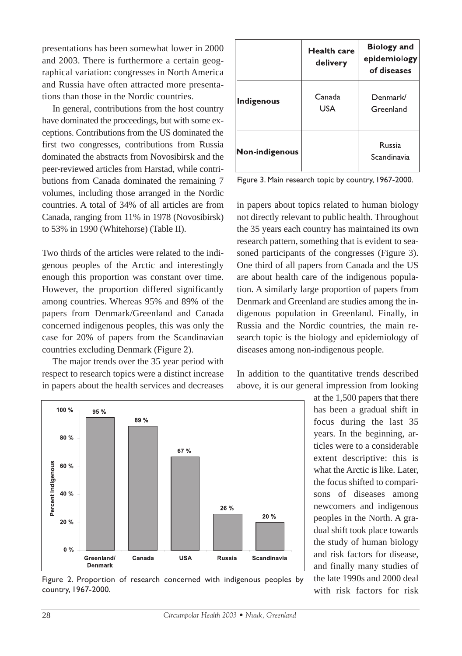presentations has been somewhat lower in 2000 and 2003. There is furthermore a certain geographical variation: congresses in North America and Russia have often attracted more presentations than those in the Nordic countries.

In general, contributions from the host country have dominated the proceedings, but with some exceptions. Contributions from the US dominated the first two congresses, contributions from Russia dominated the abstracts from Novosibirsk and the peer-reviewed articles from Harstad, while contributions from Canada dominated the remaining 7 volumes, including those arranged in the Nordic countries. A total of 34% of all articles are from Canada, ranging from 11% in 1978 (Novosibirsk) to 53% in 1990 (Whitehorse) (Table II).

Two thirds of the articles were related to the indigenous peoples of the Arctic and interestingly enough this proportion was constant over time. However, the proportion differed significantly among countries. Whereas 95% and 89% of the papers from Denmark/Greenland and Canada concerned indigenous peoples, this was only the case for 20% of papers from the Scandinavian countries excluding Denmark (Figure 2).

The major trends over the 35 year period with respect to research topics were a distinct increase in papers about the health services and decreases

|                   | <b>Health care</b><br>delivery | <b>Biology</b> and<br>epidemiology<br>of diseases |
|-------------------|--------------------------------|---------------------------------------------------|
| <b>Indigenous</b> | Canada<br>USA                  | Denmark/<br>Greenland                             |
| Non-indigenous    |                                | <b>Russia</b><br>Scandinavia                      |

Figure 3. Main research topic by country, 1967-2000.

in papers about topics related to human biology not directly relevant to public health. Throughout the 35 years each country has maintained its own research pattern, something that is evident to seasoned participants of the congresses (Figure 3). One third of all papers from Canada and the US are about health care of the indigenous population. A similarly large proportion of papers from Denmark and Greenland are studies among the indigenous population in Greenland. Finally, in Russia and the Nordic countries, the main research topic is the biology and epidemiology of diseases among non-indigenous people.



26 %

Russia

 $20%$ 

Scandinavia

In addition to the quantitative trends described above, it is our general impression from looking

> has been a gradual shift in focus during the last 35 years. In the beginning, articles were to a considerable extent descriptive: this is what the Arctic is like. Later, the focus shifted to comparisons of diseases among newcomers and indigenous peoples in the North. A gradual shift took place towards the study of human biology and risk factors for disease, and finally many studies of the late 1990s and 2000 deal with risk factors for risk

USA

Figure 2. Proportion of research concerned with indigenous peoples by

Canada

100%

80%

60%

40 %

20%

 $0\%$ 

Percent Indigenous

95%

Greenland/

Denmark